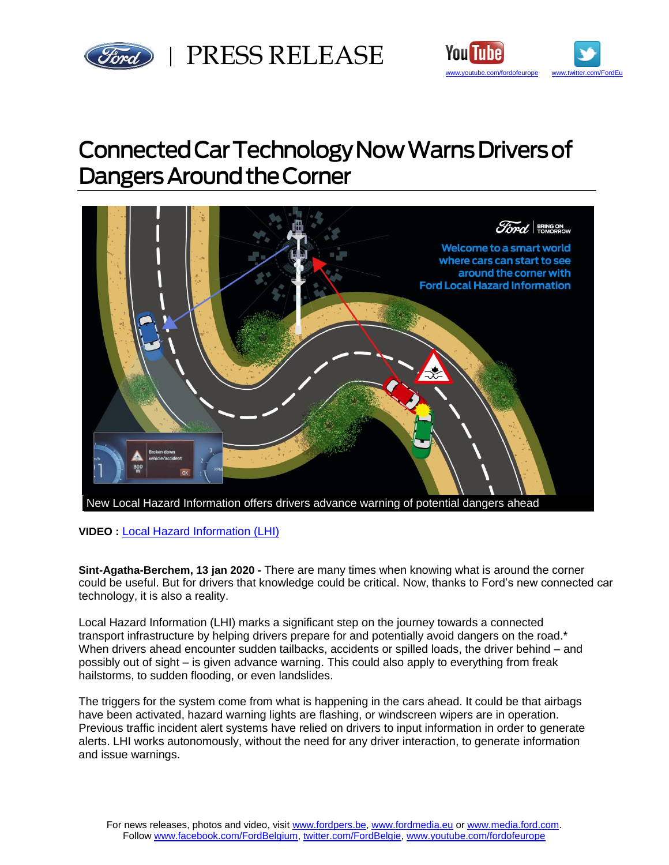



# Connected Car Technology Now Warns Drivers of **Dangers Around the Corner**



**VIDEO :** [Local Hazard Information \(LHI\)](https://www.youtube.com/watch?v=Lwi554u9_z8&feature=youtu.be)

**Sint-Agatha-Berchem, 13 jan 2020 -** There are many times when knowing what is around the corner could be useful. But for drivers that knowledge could be critical. Now, thanks to Ford's new connected car technology, it is also a reality.

Local Hazard Information (LHI) marks a significant step on the journey towards a connected transport infrastructure by helping drivers prepare for and potentially avoid dangers on the road.\* When drivers ahead encounter sudden tailbacks, accidents or spilled loads, the driver behind – and possibly out of sight – is given advance warning. This could also apply to everything from freak hailstorms, to sudden flooding, or even landslides.

The triggers for the system come from what is happening in the cars ahead. It could be that airbags have been activated, hazard warning lights are flashing, or windscreen wipers are in operation. Previous traffic incident alert systems have relied on drivers to input information in order to generate alerts. LHI works autonomously, without the need for any driver interaction, to generate information and issue warnings.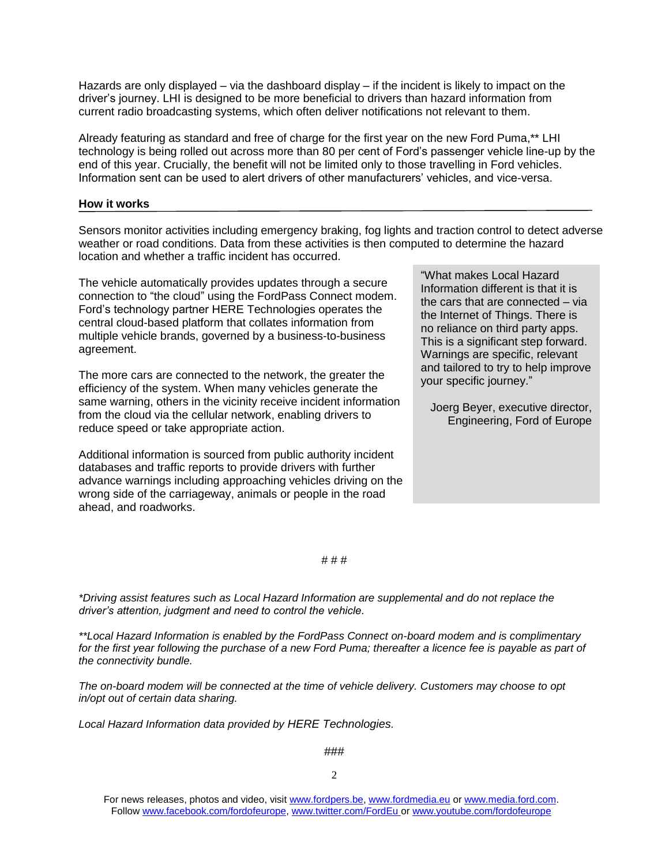Hazards are only displayed – via the dashboard display – if the incident is likely to impact on the driver's journey. LHI is designed to be more beneficial to drivers than hazard information from current radio broadcasting systems, which often deliver notifications not relevant to them.

Already featuring as standard and free of charge for the first year on the new Ford Puma,\*\* LHI technology is being rolled out across more than 80 per cent of Ford's passenger vehicle line-up by the end of this year. Crucially, the benefit will not be limited only to those travelling in Ford vehicles. Information sent can be used to alert drivers of other manufacturers' vehicles, and vice-versa.

# **How it works**

Sensors monitor activities including emergency braking, fog lights and traction control to detect adverse weather or road conditions. Data from these activities is then computed to determine the hazard location and whether a traffic incident has occurred.

The vehicle automatically provides updates through a secure connection to "the cloud" using the FordPass Connect modem. Ford's technology partner HERE Technologies operates the central cloud-based platform that collates information from multiple vehicle brands, governed by a business-to-business agreement.

The more cars are connected to the network, the greater the efficiency of the system. When many vehicles generate the same warning, others in the vicinity receive incident information from the cloud via the cellular network, enabling drivers to reduce speed or take appropriate action.

Additional information is sourced from public authority incident databases and traffic reports to provide drivers with further advance warnings including approaching vehicles driving on the wrong side of the carriageway, animals or people in the road ahead, and roadworks.

"What makes Local Hazard Information different is that it is the cars that are connected – via the Internet of Things. There is no reliance on third party apps. This is a significant step forward. Warnings are specific, relevant and tailored to try to help improve your specific journey."

Joerg Beyer, executive director, Engineering, Ford of Europe

#### # # #

*\*Driving assist features such as Local Hazard Information are supplemental and do not replace the driver's attention, judgment and need to control the vehicle.*

*\*\*Local Hazard Information is enabled by the FordPass Connect on-board modem and is complimentary for the first year following the purchase of a new Ford Puma; thereafter a licence fee is payable as part of the connectivity bundle.*

*The on-board modem will be connected at the time of vehicle delivery. Customers may choose to opt in/opt out of certain data sharing.* 

*Local Hazard Information data provided by HERE Technologies.*

###

For news releases, photos and video, visit [www.fordpers.be,](http://www.fordpers.be/) [www.fordmedia.eu](http://www.fordmedia.eu/) or [www.media.ford.com.](http://www.media.ford.com/) Follo[w www.facebook.com/fordofeurope,](http://www.facebook.com/fordofeurope) [www.twitter.com/FordEu](http://www.twitter.com/FordEu) o[r www.youtube.com/fordofeurope](http://www.youtube.com/fordofeurope)